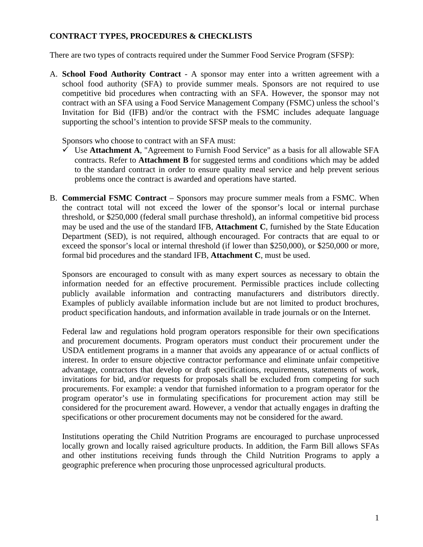# **CONTRACT TYPES, PROCEDURES & CHECKLISTS**

There are two types of contracts required under the Summer Food Service Program (SFSP):

A. **School Food Authority Contract** - A sponsor may enter into a written agreement with a school food authority (SFA) to provide summer meals. Sponsors are not required to use competitive bid procedures when contracting with an SFA. However, the sponsor may not contract with an SFA using a Food Service Management Company (FSMC) unless the school's Invitation for Bid (IFB) and/or the contract with the FSMC includes adequate language supporting the school's intention to provide SFSP meals to the community.

Sponsors who choose to contract with an SFA must:

- $\checkmark$  Use **Attachment A**, "Agreement to Furnish Food Service" as a basis for all allowable SFA contracts. Refer to **Attachment B** for suggested terms and conditions which may be added to the standard contract in order to ensure quality meal service and help prevent serious problems once the contract is awarded and operations have started.
- B. **Commercial FSMC Contract** Sponsors may procure summer meals from a FSMC. When the contract total will not exceed the lower of the sponsor's local or internal purchase threshold, or \$250,000 (federal small purchase threshold), an informal competitive bid process may be used and the use of the standard IFB, **Attachment C**, furnished by the State Education Department (SED), is not required, although encouraged. For contracts that are equal to or exceed the sponsor's local or internal threshold (if lower than \$250,000), or \$250,000 or more, formal bid procedures and the standard IFB, **Attachment C**, must be used.

Sponsors are encouraged to consult with as many expert sources as necessary to obtain the information needed for an effective procurement. Permissible practices include collecting publicly available information and contracting manufacturers and distributors directly. Examples of publicly available information include but are not limited to product brochures, product specification handouts, and information available in trade journals or on the Internet.

Federal law and regulations hold program operators responsible for their own specifications and procurement documents. Program operators must conduct their procurement under the USDA entitlement programs in a manner that avoids any appearance of or actual conflicts of interest. In order to ensure objective contractor performance and eliminate unfair competitive advantage, contractors that develop or draft specifications, requirements, statements of work, invitations for bid, and/or requests for proposals shall be excluded from competing for such procurements. For example: a vendor that furnished information to a program operator for the program operator's use in formulating specifications for procurement action may still be considered for the procurement award. However, a vendor that actually engages in drafting the specifications or other procurement documents may not be considered for the award.

Institutions operating the Child Nutrition Programs are encouraged to purchase unprocessed locally grown and locally raised agriculture products. In addition, the Farm Bill allows SFAs and other institutions receiving funds through the Child Nutrition Programs to apply a geographic preference when procuring those unprocessed agricultural products.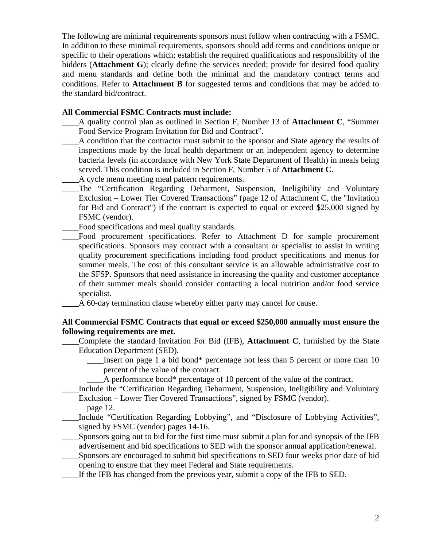The following are minimal requirements sponsors must follow when contracting with a FSMC. In addition to these minimal requirements, sponsors should add terms and conditions unique or specific to their operations which; establish the required qualifications and responsibility of the bidders (**Attachment G**); clearly define the services needed; provide for desired food quality and menu standards and define both the minimal and the mandatory contract terms and conditions. Refer to **Attachment B** for suggested terms and conditions that may be added to the standard bid/contract.

## **All Commercial FSMC Contracts must include:**

- \_\_\_\_A quality control plan as outlined in Section F, Number 13 of **Attachment C**, "Summer Food Service Program Invitation for Bid and Contract".
- A condition that the contractor must submit to the sponsor and State agency the results of inspections made by the local health department or an independent agency to determine bacteria levels (in accordance with New York State Department of Health) in meals being served. This condition is included in Section F, Number 5 of **Attachment C**.
- \_\_\_\_A cycle menu meeting meal pattern requirements.
- \_\_\_\_The "Certification Regarding Debarment, Suspension, Ineligibility and Voluntary Exclusion – Lower Tier Covered Transactions" (page 12 of Attachment C, the "Invitation for Bid and Contract") if the contract is expected to equal or exceed \$25,000 signed by FSMC (vendor).
- Food specifications and meal quality standards.
- Food procurement specifications. Refer to Attachment D for sample procurement specifications. Sponsors may contract with a consultant or specialist to assist in writing quality procurement specifications including food product specifications and menus for summer meals. The cost of this consultant service is an allowable administrative cost to the SFSP. Sponsors that need assistance in increasing the quality and customer acceptance of their summer meals should consider contacting a local nutrition and/or food service specialist.
- \_\_\_\_A 60-day termination clause whereby either party may cancel for cause.

### **All Commercial FSMC Contracts that equal or exceed \$250,000 annually must ensure the following requirements are met.**

- \_\_\_\_Complete the standard Invitation For Bid (IFB), **Attachment C**, furnished by the State Education Department (SED).
	- Insert on page 1 a bid bond\* percentage not less than 5 percent or more than 10 percent of the value of the contract.
		- \_\_\_\_A performance bond\* percentage of 10 percent of the value of the contract.
- Include the "Certification Regarding Debarment, Suspension, Ineligibility and Voluntary Exclusion – Lower Tier Covered Transactions", signed by FSMC (vendor).
	- page 12.
- \_\_\_\_Include "Certification Regarding Lobbying", and "Disclosure of Lobbying Activities", signed by FSMC (vendor) pages 14-16.
- \_\_\_\_Sponsors going out to bid for the first time must submit a plan for and synopsis of the IFB advertisement and bid specifications to SED with the sponsor annual application/renewal.
- \_\_\_\_Sponsors are encouraged to submit bid specifications to SED four weeks prior date of bid opening to ensure that they meet Federal and State requirements.
- If the IFB has changed from the previous year, submit a copy of the IFB to SED.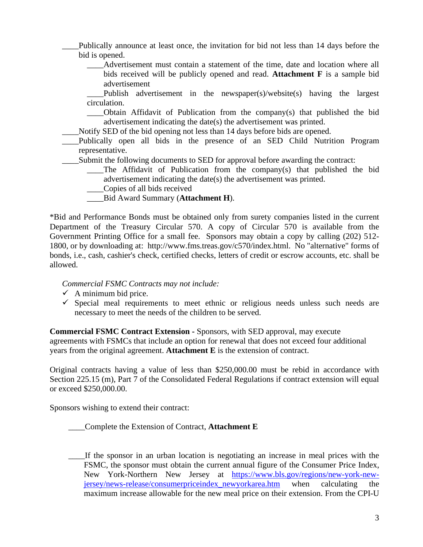\_\_\_\_Publically announce at least once, the invitation for bid not less than 14 days before the bid is opened.

Advertisement must contain a statement of the time, date and location where all bids received will be publicly opened and read. **Attachment F** is a sample bid advertisement

\_\_\_\_Publish advertisement in the newspaper(s)/website(s) having the largest circulation.

\_\_\_\_Obtain Affidavit of Publication from the company(s) that published the bid advertisement indicating the date(s) the advertisement was printed.

Notify SED of the bid opening not less than 14 days before bids are opened.

\_\_\_\_Publically open all bids in the presence of an SED Child Nutrition Program representative.

Submit the following documents to SED for approval before awarding the contract:

The Affidavit of Publication from the company(s) that published the bid advertisement indicating the date(s) the advertisement was printed.

\_\_\_\_Copies of all bids received

\_\_\_\_Bid Award Summary (**Attachment H**).

\*Bid and Performance Bonds must be obtained only from surety companies listed in the current Department of the Treasury Circular 570. A copy of Circular 570 is available from the Government Printing Office for a small fee. Sponsors may obtain a copy by calling (202) 512- 1800, or by downloading at: http://www.fms.treas.gov/c570/index.html. No "alternative" forms of bonds, i.e., cash, cashier's check, certified checks, letters of credit or escrow accounts, etc. shall be allowed.

### *Commercial FSMC Contracts may not include:*

- $\checkmark$  A minimum bid price.
- $\checkmark$  Special meal requirements to meet ethnic or religious needs unless such needs are necessary to meet the needs of the children to be served.

**Commercial FSMC Contract Extension -** Sponsors, with SED approval, may execute agreements with FSMCs that include an option for renewal that does not exceed four additional years from the original agreement. **Attachment E** is the extension of contract.

Original contracts having a value of less than \$250,000.00 must be rebid in accordance with Section 225.15 (m), Part 7 of the Consolidated Federal Regulations if contract extension will equal or exceed \$250,000.00.

Sponsors wishing to extend their contract:

\_\_\_\_Complete the Extension of Contract, **Attachment E**

If the sponsor in an urban location is negotiating an increase in meal prices with the FSMC, the sponsor must obtain the current annual figure of the Consumer Price Index, New York-Northern New Jersey at [https://www.bls.gov/regions/new-york-new](https://www.bls.gov/regions/new-york-new-jersey/news-release/consumerpriceindex_newyorkarea.htm)[jersey/news-release/consumerpriceindex\\_newyorkarea.htm](https://www.bls.gov/regions/new-york-new-jersey/news-release/consumerpriceindex_newyorkarea.htm) when calculating the maximum increase allowable for the new meal price on their extension. From the CPI-U